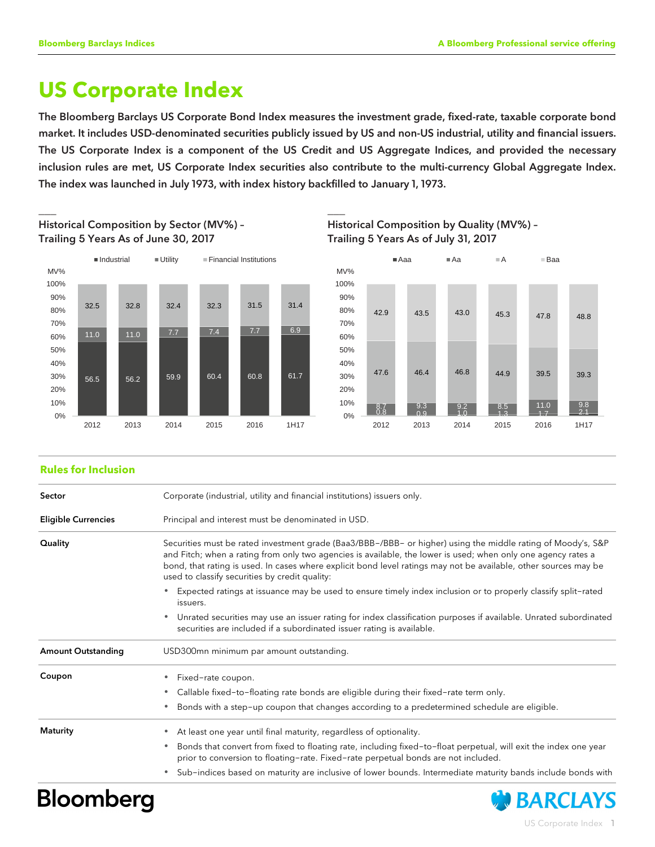# **US Corporate Index**

The Bloomberg Barclays US Corporate Bond Index measures the investment grade, fixed-rate, taxable corporate bond market. It includes USD-denominated securities publicly issued by US and non-US industrial, utility and financial issuers. The US Corporate Index is a component of the US Credit and US Aggregate Indices, and provided the necessary inclusion rules are met, US Corporate Index securities also contribute to the multi-currency Global Aggregate Index. The index was launched in July 1973, with index history backfilled to January 1, 1973.



 $\Box$  . The contract of the contract of the contract of the contract of the contract of the contract of the contract of

Historical Composition by Sector (MV%) – Trailing 5 Years As of June 30, 2017





### **Rules for Inclusion**

| Sector                     | Corporate (industrial, utility and financial institutions) issuers only.                                                                                                                                                                                                                                                                                                                                           |  |  |  |  |  |
|----------------------------|--------------------------------------------------------------------------------------------------------------------------------------------------------------------------------------------------------------------------------------------------------------------------------------------------------------------------------------------------------------------------------------------------------------------|--|--|--|--|--|
| <b>Eligible Currencies</b> | Principal and interest must be denominated in USD.                                                                                                                                                                                                                                                                                                                                                                 |  |  |  |  |  |
| Quality                    | Securities must be rated investment grade (Baa3/BBB-/BBB- or higher) using the middle rating of Moody's, S&P<br>and Fitch; when a rating from only two agencies is available, the lower is used; when only one agency rates a<br>bond, that rating is used. In cases where explicit bond level ratings may not be available, other sources may be<br>used to classify securities by credit quality:                |  |  |  |  |  |
|                            | Expected ratings at issuance may be used to ensure timely index inclusion or to properly classify split-rated<br>issuers.                                                                                                                                                                                                                                                                                          |  |  |  |  |  |
|                            | Unrated securities may use an issuer rating for index classification purposes if available. Unrated subordinated<br>$\bullet$<br>securities are included if a subordinated issuer rating is available.                                                                                                                                                                                                             |  |  |  |  |  |
| <b>Amount Outstanding</b>  | USD300mn minimum par amount outstanding.                                                                                                                                                                                                                                                                                                                                                                           |  |  |  |  |  |
| Coupon                     | Fixed-rate coupon.<br>۰<br>Callable fixed-to-floating rate bonds are eligible during their fixed-rate term only.<br>۰<br>Bonds with a step-up coupon that changes according to a predetermined schedule are eligible.<br>۰                                                                                                                                                                                         |  |  |  |  |  |
| Maturity                   | At least one year until final maturity, regardless of optionality.<br>۰<br>Bonds that convert from fixed to floating rate, including fixed-to-float perpetual, will exit the index one year<br>$\bullet$<br>prior to conversion to floating-rate. Fixed-rate perpetual bonds are not included.<br>Sub-indices based on maturity are inclusive of lower bounds. Intermediate maturity bands include bonds with<br>۰ |  |  |  |  |  |

# **Bloomberg**

**Change BARCLAYS** 

US Corporate Index 1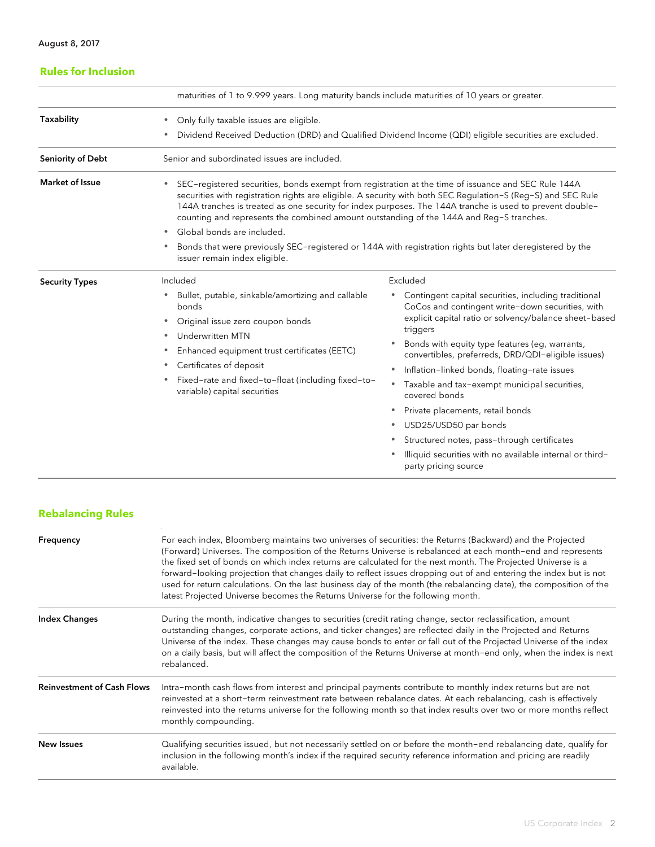| <b>Rules for Inclusion</b> |                                                                                                                                                                                                                                                                                                                                                                                                                                         |                                                                                                                                                                                |  |  |  |  |  |
|----------------------------|-----------------------------------------------------------------------------------------------------------------------------------------------------------------------------------------------------------------------------------------------------------------------------------------------------------------------------------------------------------------------------------------------------------------------------------------|--------------------------------------------------------------------------------------------------------------------------------------------------------------------------------|--|--|--|--|--|
|                            | maturities of 1 to 9.999 years. Long maturity bands include maturities of 10 years or greater.                                                                                                                                                                                                                                                                                                                                          |                                                                                                                                                                                |  |  |  |  |  |
| <b>Taxability</b>          | Only fully taxable issues are eligible.<br>٠<br>Dividend Received Deduction (DRD) and Qualified Dividend Income (QDI) eligible securities are excluded.<br>٠                                                                                                                                                                                                                                                                            |                                                                                                                                                                                |  |  |  |  |  |
| Seniority of Debt          | Senior and subordinated issues are included.                                                                                                                                                                                                                                                                                                                                                                                            |                                                                                                                                                                                |  |  |  |  |  |
| <b>Market of Issue</b>     | SEC-registered securities, bonds exempt from registration at the time of issuance and SEC Rule 144A<br>$\bullet$<br>securities with registration rights are eligible. A security with both SEC Regulation-S (Reg-S) and SEC Rule<br>144A tranches is treated as one security for index purposes. The 144A tranche is used to prevent double-<br>counting and represents the combined amount outstanding of the 144A and Reg-S tranches. |                                                                                                                                                                                |  |  |  |  |  |
|                            | Global bonds are included.<br>$\bullet$                                                                                                                                                                                                                                                                                                                                                                                                 |                                                                                                                                                                                |  |  |  |  |  |
|                            | Bonds that were previously SEC-registered or 144A with registration rights but later deregistered by the<br>٠<br>issuer remain index eligible.                                                                                                                                                                                                                                                                                          |                                                                                                                                                                                |  |  |  |  |  |
| <b>Security Types</b>      | Included                                                                                                                                                                                                                                                                                                                                                                                                                                | Excluded                                                                                                                                                                       |  |  |  |  |  |
|                            | Bullet, putable, sinkable/amortizing and callable<br>۰<br>bonds<br>Original issue zero coupon bonds<br>۰                                                                                                                                                                                                                                                                                                                                | Contingent capital securities, including traditional<br>CoCos and contingent write-down securities, with<br>explicit capital ratio or solvency/balance sheet-based<br>triggers |  |  |  |  |  |
|                            | <b>Underwritten MTN</b><br>٠                                                                                                                                                                                                                                                                                                                                                                                                            | Bonds with equity type features (eq. warrants,                                                                                                                                 |  |  |  |  |  |
|                            | Enhanced equipment trust certificates (EETC)<br>٠                                                                                                                                                                                                                                                                                                                                                                                       | convertibles, preferreds, DRD/QDI-eligible issues)                                                                                                                             |  |  |  |  |  |
|                            | Certificates of deposit<br>۰                                                                                                                                                                                                                                                                                                                                                                                                            | Inflation-linked bonds, floating-rate issues<br>$\bullet$                                                                                                                      |  |  |  |  |  |
|                            | Fixed-rate and fixed-to-float (including fixed-to-<br>$\bullet$<br>variable) capital securities                                                                                                                                                                                                                                                                                                                                         | Taxable and tax-exempt municipal securities,<br>$\bullet$<br>covered bonds                                                                                                     |  |  |  |  |  |
|                            |                                                                                                                                                                                                                                                                                                                                                                                                                                         | Private placements, retail bonds<br>۰                                                                                                                                          |  |  |  |  |  |
|                            |                                                                                                                                                                                                                                                                                                                                                                                                                                         | USD25/USD50 par bonds<br>$\bullet$                                                                                                                                             |  |  |  |  |  |
|                            |                                                                                                                                                                                                                                                                                                                                                                                                                                         | Structured notes, pass-through certificates<br>$\bullet$                                                                                                                       |  |  |  |  |  |
|                            |                                                                                                                                                                                                                                                                                                                                                                                                                                         | Illiquid securities with no available internal or third-<br>party pricing source                                                                                               |  |  |  |  |  |

# **Rebalancing Rules**

| Frequency                         | For each index, Bloomberg maintains two universes of securities: the Returns (Backward) and the Projected<br>(Forward) Universes. The composition of the Returns Universe is rebalanced at each month-end and represents<br>the fixed set of bonds on which index returns are calculated for the next month. The Projected Universe is a<br>forward-looking projection that changes daily to reflect issues dropping out of and entering the index but is not<br>used for return calculations. On the last business day of the month (the rebalancing date), the composition of the<br>latest Projected Universe becomes the Returns Universe for the following month. |
|-----------------------------------|------------------------------------------------------------------------------------------------------------------------------------------------------------------------------------------------------------------------------------------------------------------------------------------------------------------------------------------------------------------------------------------------------------------------------------------------------------------------------------------------------------------------------------------------------------------------------------------------------------------------------------------------------------------------|
| <b>Index Changes</b>              | During the month, indicative changes to securities (credit rating change, sector reclassification, amount<br>outstanding changes, corporate actions, and ticker changes) are reflected daily in the Projected and Returns<br>Universe of the index. These changes may cause bonds to enter or fall out of the Projected Universe of the index<br>on a daily basis, but will affect the composition of the Returns Universe at month-end only, when the index is next<br>rebalanced.                                                                                                                                                                                    |
| <b>Reinvestment of Cash Flows</b> | Intra-month cash flows from interest and principal payments contribute to monthly index returns but are not<br>reinvested at a short-term reinvestment rate between rebalance dates. At each rebalancing, cash is effectively<br>reinvested into the returns universe for the following month so that index results over two or more months reflect<br>monthly compounding.                                                                                                                                                                                                                                                                                            |
| New Issues                        | Qualifying securities issued, but not necessarily settled on or before the month-end rebalancing date, qualify for<br>inclusion in the following month's index if the required security reference information and pricing are readily<br>available.                                                                                                                                                                                                                                                                                                                                                                                                                    |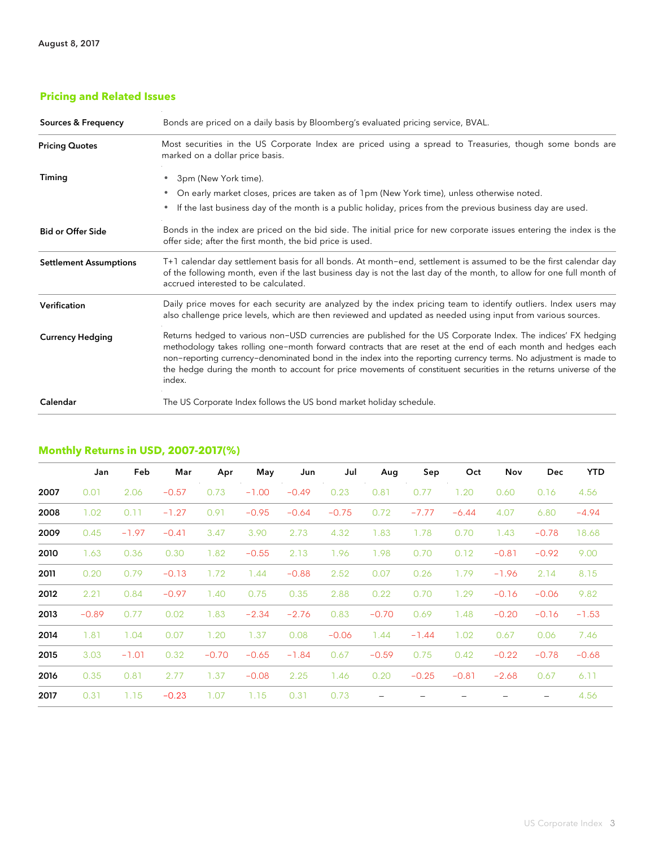# **Pricing and Related Issues**

| <b>Sources &amp; Frequency</b> | Bonds are priced on a daily basis by Bloomberg's evaluated pricing service, BVAL.                                                                                                                                                                                                                                                                                                                                                                                                   |  |  |  |  |
|--------------------------------|-------------------------------------------------------------------------------------------------------------------------------------------------------------------------------------------------------------------------------------------------------------------------------------------------------------------------------------------------------------------------------------------------------------------------------------------------------------------------------------|--|--|--|--|
| <b>Pricing Quotes</b>          | Most securities in the US Corporate Index are priced using a spread to Treasuries, though some bonds are<br>marked on a dollar price basis.                                                                                                                                                                                                                                                                                                                                         |  |  |  |  |
| Timing                         | 3pm (New York time).<br>۰<br>On early market closes, prices are taken as of 1pm (New York time), unless otherwise noted.<br>۰<br>If the last business day of the month is a public holiday, prices from the previous business day are used.<br>٠                                                                                                                                                                                                                                    |  |  |  |  |
| <b>Bid or Offer Side</b>       | Bonds in the index are priced on the bid side. The initial price for new corporate issues entering the index is the<br>offer side; after the first month, the bid price is used.                                                                                                                                                                                                                                                                                                    |  |  |  |  |
| <b>Settlement Assumptions</b>  | T+1 calendar day settlement basis for all bonds. At month-end, settlement is assumed to be the first calendar day<br>of the following month, even if the last business day is not the last day of the month, to allow for one full month of<br>accrued interested to be calculated.                                                                                                                                                                                                 |  |  |  |  |
| Verification                   | Daily price moves for each security are analyzed by the index pricing team to identify outliers. Index users may<br>also challenge price levels, which are then reviewed and updated as needed using input from various sources.                                                                                                                                                                                                                                                    |  |  |  |  |
| <b>Currency Hedging</b>        | Returns hedged to various non-USD currencies are published for the US Corporate Index. The indices' FX hedging<br>methodology takes rolling one-month forward contracts that are reset at the end of each month and hedges each<br>non-reporting currency-denominated bond in the index into the reporting currency terms. No adjustment is made to<br>the hedge during the month to account for price movements of constituent securities in the returns universe of the<br>index. |  |  |  |  |
| Calendar                       | The US Corporate Index follows the US bond market holiday schedule.                                                                                                                                                                                                                                                                                                                                                                                                                 |  |  |  |  |

# **Monthly Returns in USD, 2007-2017(%)**

|      | Jan     | Feb     | Mar     | Apr     | May     | Jun     | Jul     | Aug                      | Sep     | Oct     | Nov     | <b>Dec</b>               | <b>YTD</b> |
|------|---------|---------|---------|---------|---------|---------|---------|--------------------------|---------|---------|---------|--------------------------|------------|
| 2007 | 0.01    | 2.06    | $-0.57$ | 0.73    | $-1.00$ | $-0.49$ | 0.23    | 0.81                     | 0.77    | 1.20    | 0.60    | 0.16                     | 4.56       |
| 2008 | 1.02    | 0.11    | $-1.27$ | 0.91    | $-0.95$ | $-0.64$ | $-0.75$ | 0.72                     | $-7.77$ | $-6.44$ | 4.07    | 6.80                     | $-4.94$    |
| 2009 | 0.45    | $-1.97$ | $-0.41$ | 3.47    | 3.90    | 2.73    | 4.32    | 1.83                     | 1.78    | 0.70    | 1.43    | $-0.78$                  | 18.68      |
| 2010 | 1.63    | 0.36    | 0.30    | 1.82    | $-0.55$ | 2.13    | 1.96    | 1.98                     | 0.70    | 0.12    | $-0.81$ | $-0.92$                  | 9.00       |
| 2011 | 0.20    | 0.79    | $-0.13$ | 1.72    | 1.44    | $-0.88$ | 2.52    | 0.07                     | 0.26    | 1.79    | $-1.96$ | 2.14                     | 8.15       |
| 2012 | 2.21    | 0.84    | $-0.97$ | 1.40    | 0.75    | 0.35    | 2.88    | 0.22                     | 0.70    | 1.29    | $-0.16$ | $-0.06$                  | 9.82       |
| 2013 | $-0.89$ | 0.77    | 0.02    | 1.83    | $-2.34$ | $-2.76$ | 0.83    | $-0.70$                  | 0.69    | 1.48    | $-0.20$ | $-0.16$                  | $-1.53$    |
| 2014 | 1.81    | 1.04    | 0.07    | 1.20    | 1.37    | 0.08    | $-0.06$ | 1.44                     | $-1.44$ | 1.02    | 0.67    | 0.06                     | 7.46       |
| 2015 | 3.03    | $-1.01$ | 0.32    | $-0.70$ | $-0.65$ | $-1.84$ | 0.67    | $-0.59$                  | 0.75    | 0.42    | $-0.22$ | $-0.78$                  | $-0.68$    |
| 2016 | 0.35    | 0.81    | 2.77    | 1.37    | $-0.08$ | 2.25    | 1.46    | 0.20                     | $-0.25$ | $-0.81$ | $-2.68$ | 0.67                     | 6.11       |
| 2017 | 0.31    | 1.15    | $-0.23$ | 1.07    | 1.15    | 0.31    | 0.73    | $\overline{\phantom{m}}$ |         |         |         | $\overline{\phantom{m}}$ | 4.56       |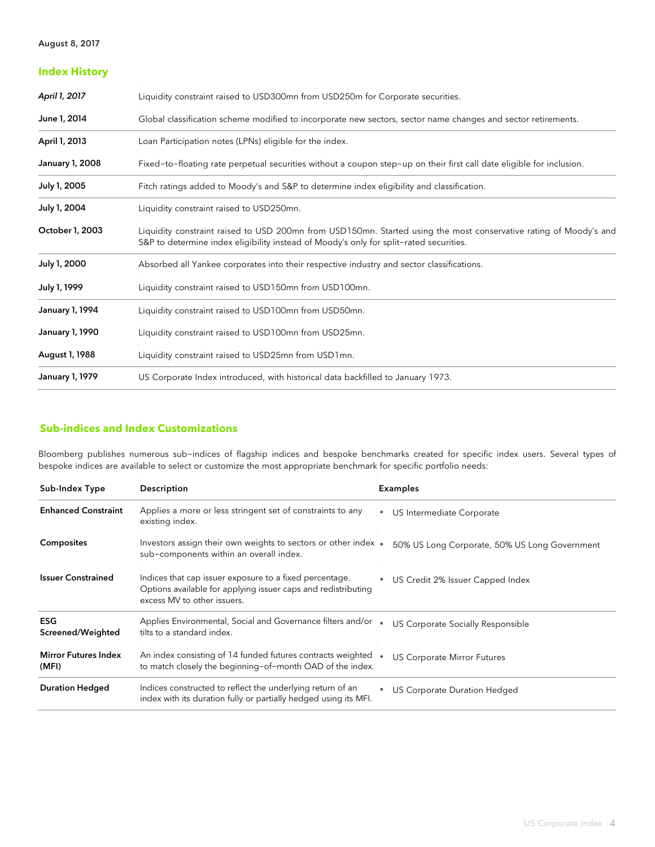### August 8, 2017

| <b>Index History</b>   |                                                                                                                                                                                                             |
|------------------------|-------------------------------------------------------------------------------------------------------------------------------------------------------------------------------------------------------------|
| April 1, 2017          | Liquidity constraint raised to USD300mn from USD250m for Corporate securities.                                                                                                                              |
| June 1, 2014           | Global classification scheme modified to incorporate new sectors, sector name changes and sector retirements.                                                                                               |
| April 1, 2013          | Loan Participation notes (LPNs) eligible for the index.                                                                                                                                                     |
| January 1, 2008        | Fixed-to-floating rate perpetual securities without a coupon step-up on their first call date eligible for inclusion.                                                                                       |
| July 1, 2005           | Fitch ratings added to Moody's and S&P to determine index eligibility and classification.                                                                                                                   |
| July 1, 2004           | Liquidity constraint raised to USD250mn.                                                                                                                                                                    |
| October 1, 2003        | Liquidity constraint raised to USD 200mn from USD150mn. Started using the most conservative rating of Moody's and<br>S&P to determine index eligibility instead of Moody's only for split-rated securities. |
| July 1, 2000           | Absorbed all Yankee corporates into their respective industry and sector classifications.                                                                                                                   |
| July 1, 1999           | Liquidity constraint raised to USD150mn from USD100mn.                                                                                                                                                      |
| <b>January 1, 1994</b> | Liquidity constraint raised to USD100mn from USD50mn.                                                                                                                                                       |
| January 1, 1990        | Liquidity constraint raised to USD100mn from USD25mn.                                                                                                                                                       |
| August 1, 1988         | Liquidity constraint raised to USD25mn from USD1mn.                                                                                                                                                         |
| <b>January 1, 1979</b> | US Corporate Index introduced, with historical data backfilled to January 1973.                                                                                                                             |

# **Sub-indices and Index Customizations**

Bloomberg publishes numerous sub-indices of flagship indices and bespoke benchmarks created for specific index users. Several types of bespoke indices are available to select or customize the most appropriate benchmark for specific portfolio needs:

| Sub-Index Type                       | Description                                                                                                                                             | <b>Examples</b> |                                               |  |
|--------------------------------------|---------------------------------------------------------------------------------------------------------------------------------------------------------|-----------------|-----------------------------------------------|--|
| <b>Enhanced Constraint</b>           | Applies a more or less stringent set of constraints to any<br>existing index.                                                                           | $\bullet$       | US Intermediate Corporate                     |  |
| <b>Composites</b>                    | Investors assign their own weights to sectors or other index .<br>sub-components within an overall index.                                               |                 | 50% US Long Corporate, 50% US Long Government |  |
| <b>Issuer Constrained</b>            | Indices that cap issuer exposure to a fixed percentage.<br>Options available for applying issuer caps and redistributing<br>excess MV to other issuers. |                 | US Credit 2% Issuer Capped Index              |  |
| <b>ESG</b><br>Screened/Weighted      | Applies Environmental, Social and Governance filters and/or<br>tilts to a standard index.                                                               |                 | US Corporate Socially Responsible             |  |
| <b>Mirror Futures Index</b><br>(MFI) | An index consisting of 14 funded futures contracts weighted<br>to match closely the beginning-of-month OAD of the index.                                |                 | <b>US Corporate Mirror Futures</b>            |  |
| <b>Duration Hedged</b>               | Indices constructed to reflect the underlying return of an<br>index with its duration fully or partially hedged using its MFI.                          |                 | US Corporate Duration Hedged                  |  |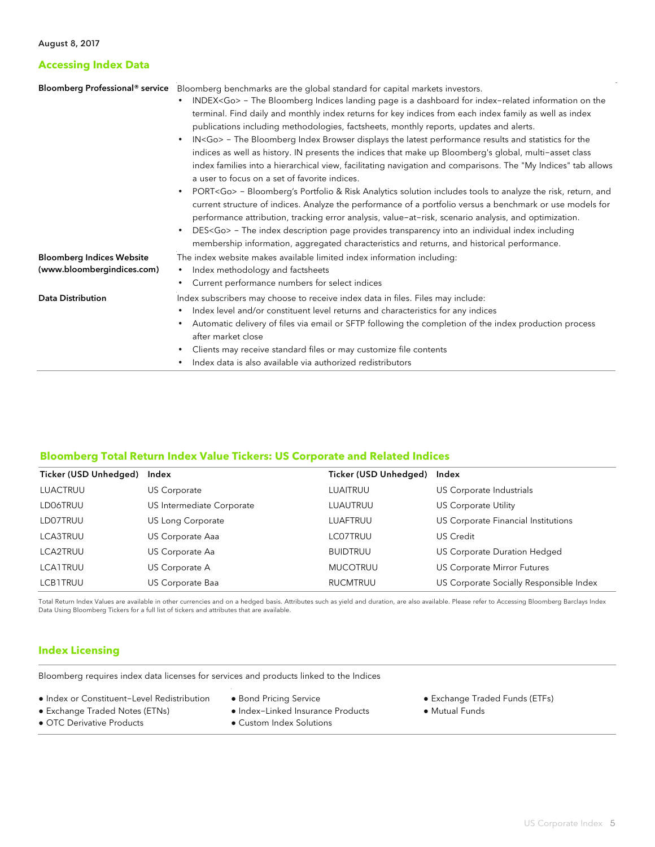## **Accessing Index Data**

|                                  | Bloomberg Professional <sup>®</sup> service Bloomberg benchmarks are the global standard for capital markets investors.                                                                                                                                                                                                                                                                |  |  |  |  |  |
|----------------------------------|----------------------------------------------------------------------------------------------------------------------------------------------------------------------------------------------------------------------------------------------------------------------------------------------------------------------------------------------------------------------------------------|--|--|--|--|--|
|                                  | INDEX <go> - The Bloomberg Indices landing page is a dashboard for index-related information on the<br/><math display="inline">\bullet</math></go>                                                                                                                                                                                                                                     |  |  |  |  |  |
|                                  | terminal. Find daily and monthly index returns for key indices from each index family as well as index                                                                                                                                                                                                                                                                                 |  |  |  |  |  |
|                                  | publications including methodologies, factsheets, monthly reports, updates and alerts.                                                                                                                                                                                                                                                                                                 |  |  |  |  |  |
|                                  | IN <go> - The Bloomberg Index Browser displays the latest performance results and statistics for the<br/><math display="inline">\bullet</math></go>                                                                                                                                                                                                                                    |  |  |  |  |  |
|                                  | indices as well as history. IN presents the indices that make up Bloomberg's global, multi-asset class                                                                                                                                                                                                                                                                                 |  |  |  |  |  |
|                                  | index families into a hierarchical view, facilitating navigation and comparisons. The "My Indices" tab allows<br>a user to focus on a set of favorite indices.                                                                                                                                                                                                                         |  |  |  |  |  |
|                                  | PORT <go> - Bloomberg's Portfolio &amp; Risk Analytics solution includes tools to analyze the risk, return, and<br/><math display="inline">\bullet</math><br/>current structure of indices. Analyze the performance of a portfolio versus a benchmark or use models for<br/>performance attribution, tracking error analysis, value-at-risk, scenario analysis, and optimization.</go> |  |  |  |  |  |
|                                  | DES <go> - The index description page provides transparency into an individual index including<br/><math display="inline">\bullet</math></go>                                                                                                                                                                                                                                          |  |  |  |  |  |
|                                  | membership information, aggregated characteristics and returns, and historical performance.                                                                                                                                                                                                                                                                                            |  |  |  |  |  |
| <b>Bloomberg Indices Website</b> | The index website makes available limited index information including:                                                                                                                                                                                                                                                                                                                 |  |  |  |  |  |
| (www.bloombergindices.com)       | Index methodology and factsheets<br>$\bullet$                                                                                                                                                                                                                                                                                                                                          |  |  |  |  |  |
|                                  | Current performance numbers for select indices                                                                                                                                                                                                                                                                                                                                         |  |  |  |  |  |
| <b>Data Distribution</b>         | Index subscribers may choose to receive index data in files. Files may include:                                                                                                                                                                                                                                                                                                        |  |  |  |  |  |
|                                  | Index level and/or constituent level returns and characteristics for any indices<br>$\bullet$                                                                                                                                                                                                                                                                                          |  |  |  |  |  |
|                                  | Automatic delivery of files via email or SFTP following the completion of the index production process                                                                                                                                                                                                                                                                                 |  |  |  |  |  |
|                                  | after market close                                                                                                                                                                                                                                                                                                                                                                     |  |  |  |  |  |
|                                  | Clients may receive standard files or may customize file contents<br>$\bullet$                                                                                                                                                                                                                                                                                                         |  |  |  |  |  |
|                                  | Index data is also available via authorized redistributors                                                                                                                                                                                                                                                                                                                             |  |  |  |  |  |

# **Bloomberg Total Return Index Value Tickers: US Corporate and Related Indices**

| Ticker (USD Unhedged) | Index                     | Ticker (USD Unhedged) Index |                                         |
|-----------------------|---------------------------|-----------------------------|-----------------------------------------|
| <b>LUACTRUU</b>       | US Corporate              | LUAITRUU                    | US Corporate Industrials                |
| LD06TRUU              | US Intermediate Corporate | LUAUTRUU                    | US Corporate Utility                    |
| LD07TRUU              | US Long Corporate         | LUAFTRUU                    | US Corporate Financial Institutions     |
| LCA3TRUU              | US Corporate Aaa          | LCO7TRUU                    | <b>US Credit</b>                        |
| LCA2TRUU              | US Corporate Aa           | <b>BUIDTRUU</b>             | <b>US Corporate Duration Hedged</b>     |
| <b>LCA1TRUU</b>       | US Corporate A            | <b>MUCOTRUU</b>             | <b>US Corporate Mirror Futures</b>      |
| <b>LCB1TRUU</b>       | US Corporate Baa          | <b>RUCMTRUU</b>             | US Corporate Socially Responsible Index |

Total Return Index Values are available in other currencies and on a hedged basis. Attributes such as yield and duration, are also available. Please refer to Accessing Bloomberg Barclays Index Data Using Bloomberg Tickers for a full list of tickers and attributes that are available.

## **Index Licensing**

Bloomberg requires index data licenses for services and products linked to the Indices

- Index or Constituent-Level Redistribution
- Bond Pricing Service
- Exchange Traded Notes (ETNs)
- 
- OTC Derivative Products
- Index-Linked Insurance Products
- Custom Index Solutions
- Exchange Traded Funds (ETFs)
- Mutual Funds